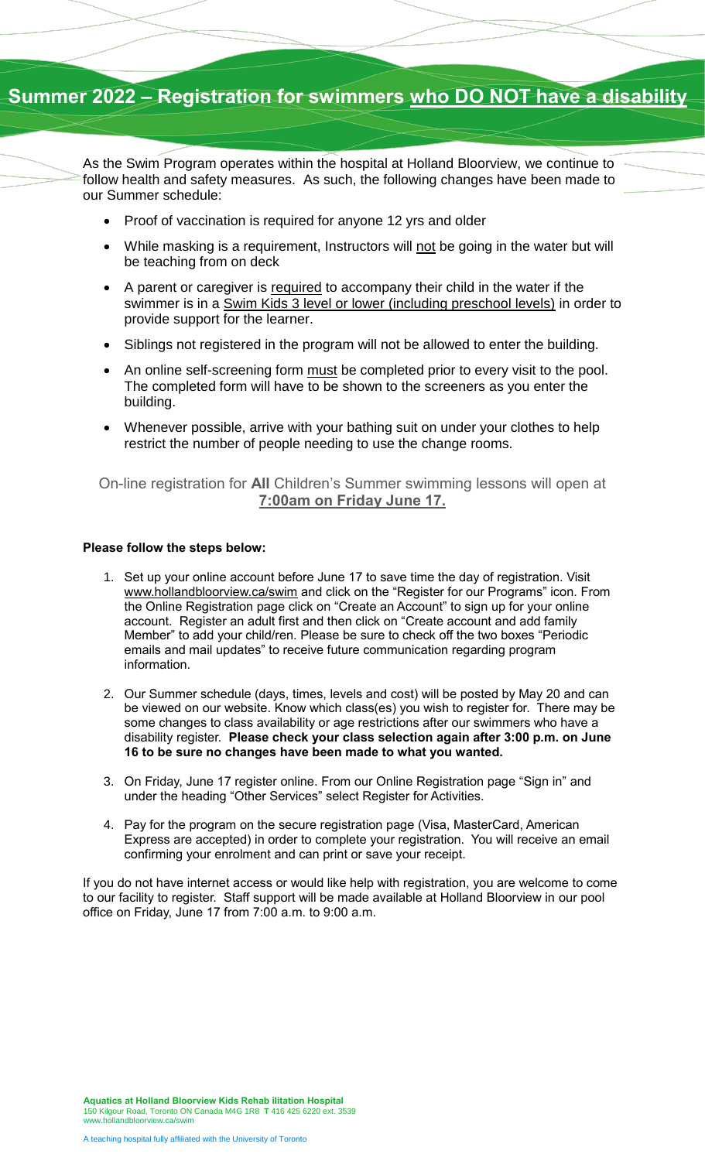## **Summer 2022 – Registration for swimmers who DO NOT have a disability**

As the Swim Program operates within the hospital at Holland Bloorview, we continue to follow health and safety measures. As such, the following changes have been made to our Summer schedule:

- Proof of vaccination is required for anyone 12 yrs and older
- While masking is a requirement, Instructors will not be going in the water but will be teaching from on deck
- A parent or caregiver is required to accompany their child in the water if the swimmer is in a Swim Kids 3 level or lower (including preschool levels) in order to provide support for the learner.
- Siblings not registered in the program will not be allowed to enter the building.
- An online self-screening form must be completed prior to every visit to the pool. The completed form will have to be shown to the screeners as you enter the building.
- Whenever possible, arrive with your bathing suit on under your clothes to help restrict the number of people needing to use the change rooms.

On-line registration for **All** Children's Summer swimming lessons will open at **7:00am on Friday June 17.**

## **Please follow the steps below:**

- 1. Set up your online account before June 17 to save time the day of registration. Visit [www.hollandbloorview.ca/swim](http://www.hollandbloorview.ca/swim) and click on the "Register for our Programs" icon. From the Online Registration page click on "Create an Account" to sign up for your online account. Register an adult first and then click on "Create account and add family Member" to add your child/ren. Please be sure to check off the two boxes "Periodic emails and mail updates" to receive future communication regarding program information.
- 2. Our Summer schedule (days, times, levels and cost) will be posted by May 20 and can be viewed on our website. Know which class(es) you wish to register for. There may be some changes to class availability or age restrictions after our swimmers who have a disability register. **Please check your class selection again after 3:00 p.m. on June 16 to be sure no changes have been made to what you wanted.**
- 3. On Friday, June 17 register online. From our Online Registration page "Sign in" and under the heading "Other Services" select Register for Activities.
- 4. Pay for the program on the secure registration page (Visa, MasterCard, American Express are accepted) in order to complete your registration. You will receive an email confirming your enrolment and can print or save your receipt.

If you do not have internet access or would like help with registration, you are welcome to come to our facility to register. Staff support will be made available at Holland Bloorview in our pool office on Friday, June 17 from 7:00 a.m. to 9:00 a.m.

**Aquatics at Holland Bloorview Kids Rehab ilitation Hospital** 150 Kilgour Road, Toronto ON Canada M4G 1R8 **T** 416 425 6220 ext. 3539 [www.hollandbloorview.ca/swim](file://///bkr-apps/viewfindervault/Comm%20and%20PA/Communications%20&%20Stakeholder%20Relations/Corporate%20Image%20&%20Relationships/Corporate%20Identity/Templates/Word%20fact%20sheets%20and%20posters/www.hollandbloorview.ca/swim)